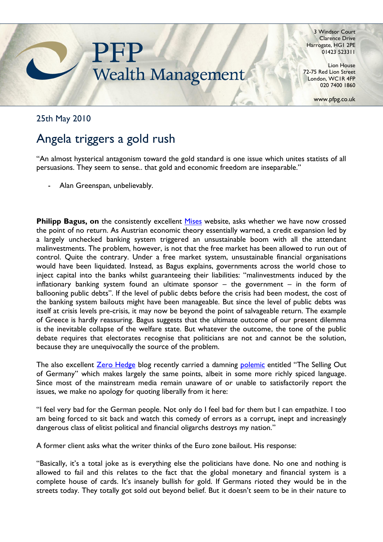

3 Windsor Court Clarence Drive Harrogate, HG1 2PE 01423 523311

Lion House 72-75 Red Lion Street London, WC1R 4FP 020 7400 1860

www.pfpg.co.uk

## 25th May 2010

## Angela triggers a gold rush

"An almost hysterical antagonism toward the gold standard is one issue which unites statists of all persuasions. They seem to sense.. that gold and economic freedom are inseparable."

Alan Greenspan, unbelievably.

**Philipp Bagus, on** the consistently excellent [Mises](http://mises.org/daily/4352) website, asks whether we have now crossed the point of no return. As Austrian economic theory essentially warned, a credit expansion led by a largely unchecked banking system triggered an unsustainable boom with all the attendant malinvestments. The problem, however, is not that the free market has been allowed to run out of control. Quite the contrary. Under a free market system, unsustainable financial organisations would have been liquidated. Instead, as Bagus explains, governments across the world chose to inject capital into the banks whilst guaranteeing their liabilities: "malinvestments induced by the inflationary banking system found an ultimate sponsor – the government – in the form of ballooning public debts". If the level of public debts before the crisis had been modest, the cost of the banking system bailouts might have been manageable. But since the level of public debts was itself at crisis levels pre-crisis, it may now be beyond the point of salvageable return. The example of Greece is hardly reassuring. Bagus suggests that the ultimate outcome of our present dilemma is the inevitable collapse of the welfare state. But whatever the outcome, the tone of the public debate requires that electorates recognise that politicians are not and cannot be the solution, because they are unequivocally the source of the problem.

The also excellent [Zero Hedge](http://www.zerohedge.com/) blog recently carried a damning [polemic](http://www.zerohedge.com/article/selling-out-germany) entitled "The Selling Out of Germany" which makes largely the same points, albeit in some more richly spiced language. Since most of the mainstream media remain unaware of or unable to satisfactorily report the issues, we make no apology for quoting liberally from it here:

"I feel very bad for the German people. Not only do I feel bad for them but I can empathize. I too am being forced to sit back and watch this comedy of errors as a corrupt, inept and increasingly dangerous class of elitist political and financial oligarchs destroys my nation."

A former client asks what the writer thinks of the Euro zone bailout. His response:

"Basically, it's a total joke as is everything else the politicians have done. No one and nothing is allowed to fail and this relates to the fact that the global monetary and financial system is a complete house of cards. It's insanely bullish for gold. If Germans rioted they would be in the streets today. They totally got sold out beyond belief. But it doesn't seem to be in their nature to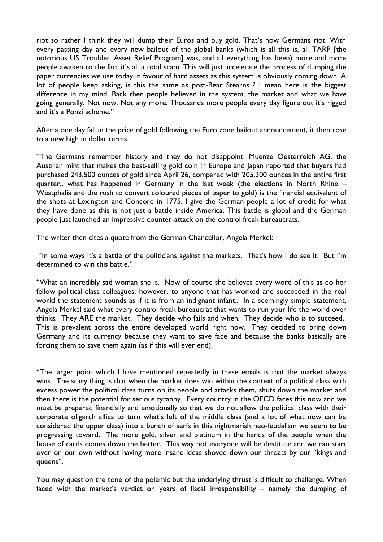riot so rather I think they will dump their Euros and buy gold. That's how Germans riot. With every passing day and every new bailout of the global banks (which is all this is, all TARP [the notorious US Troubled Asset Relief Program] was, and all everything has been) more and more people awaken to the fact it's all a total scam. This will just accelerate the process of dumping the paper currencies we use today in favour of hard assets as this system is obviously coming down. A lot of people keep asking, is this the same as post-Bear Stearns ? I mean here is the biggest difference in my mind. Back then people believed in the system, the market and what we have going generally. Not now. Not any more. Thousands more people every day figure out it's rigged and it's a Ponzi scheme."

After a one day fall in the price of gold following the Euro zone bailout announcement, it then rose to a new high in dollar terms.

"The Germans remember history and they do not disappoint. Muenze Oesterreich AG, the Austrian mint that makes the best-selling gold coin in Europe and Japan reported that buyers had purchased 243,500 ounces of gold since April 26, compared with 205,300 ounces in the entire first quarter.. what has happened in Germany in the last week (the elections in North Rhine – Westphalia and the rush to convert coloured pieces of paper to gold) is the financial equivalent of the shots at Lexington and Concord in 1775. I give the German people a lot of credit for what they have done as this is not just a battle inside America. This battle is global and the German people just launched an impressive counter-attack on the control freak bureaucrats.

The writer then cites a quote from the German Chancellor, Angela Merkel:

"In some ways it's a battle of the politicians against the markets. That's how I do see it. But I'm determined to win this battle."

"What an incredibly sad woman she is. Now of course she believes every word of this as do her fellow political-class colleagues; however, to anyone that has worked and succeeded in the real world the statement sounds as if it is from an indignant infant.. In a seemingly simple statement, Angela Merkel said what every control freak bureaucrat that wants to run your life the world over thinks. They ARE the market. They decide who fails and when. They decide who is to succeed. This is prevalent across the entire developed world right now. They decided to bring down Germany and its currency because they want to save face and because the banks basically are forcing them to save them again (as if this will ever end).

"The larger point which I have mentioned repeatedly in these emails is that the market always wins. The scary thing is that when the market does win within the context of a political class with excess power the political class turns on its people and attacks them, shuts down the market and then there is the potential for serious tyranny. Every country in the OECD faces this now and we must be prepared financially and emotionally so that we do not allow the political class with their corporate oligarch allies to turn what's left of the middle class (and a lot of what now can be considered the upper class) into a bunch of serfs in this nightmarish neo-feudalism we seem to be progressing toward. The more gold, silver and platinum in the hands of the people when the house of cards comes down the better. This way not everyone will be destitute and we can start over on our own without having more insane ideas shoved down our throats by our "kings and queens".

You may question the tone of the polemic but the underlying thrust is difficult to challenge. When faced with the market's verdict on years of fiscal irresponsibility – namely the dumping of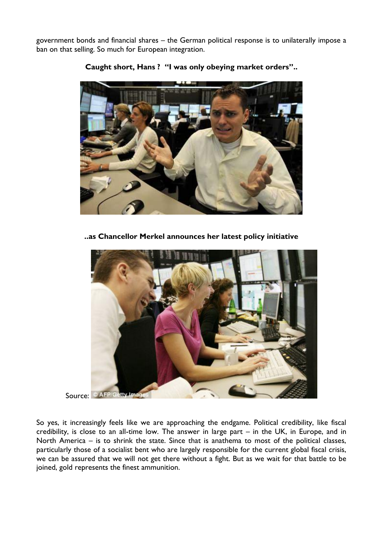government bonds and financial shares – the German political response is to unilaterally impose a ban on that selling. So much for European integration.



**Caught short, Hans ? "I was only obeying market orders"..**

**..as Chancellor Merkel announces her latest policy initiative**



Source: © AFP/Getty Imag

So yes, it increasingly feels like we are approaching the endgame. Political credibility, like fiscal credibility, is close to an all-time low. The answer in large part – in the UK, in Europe, and in North America – is to shrink the state. Since that is anathema to most of the political classes, particularly those of a socialist bent who are largely responsible for the current global fiscal crisis, we can be assured that we will not get there without a fight. But as we wait for that battle to be joined, gold represents the finest ammunition.